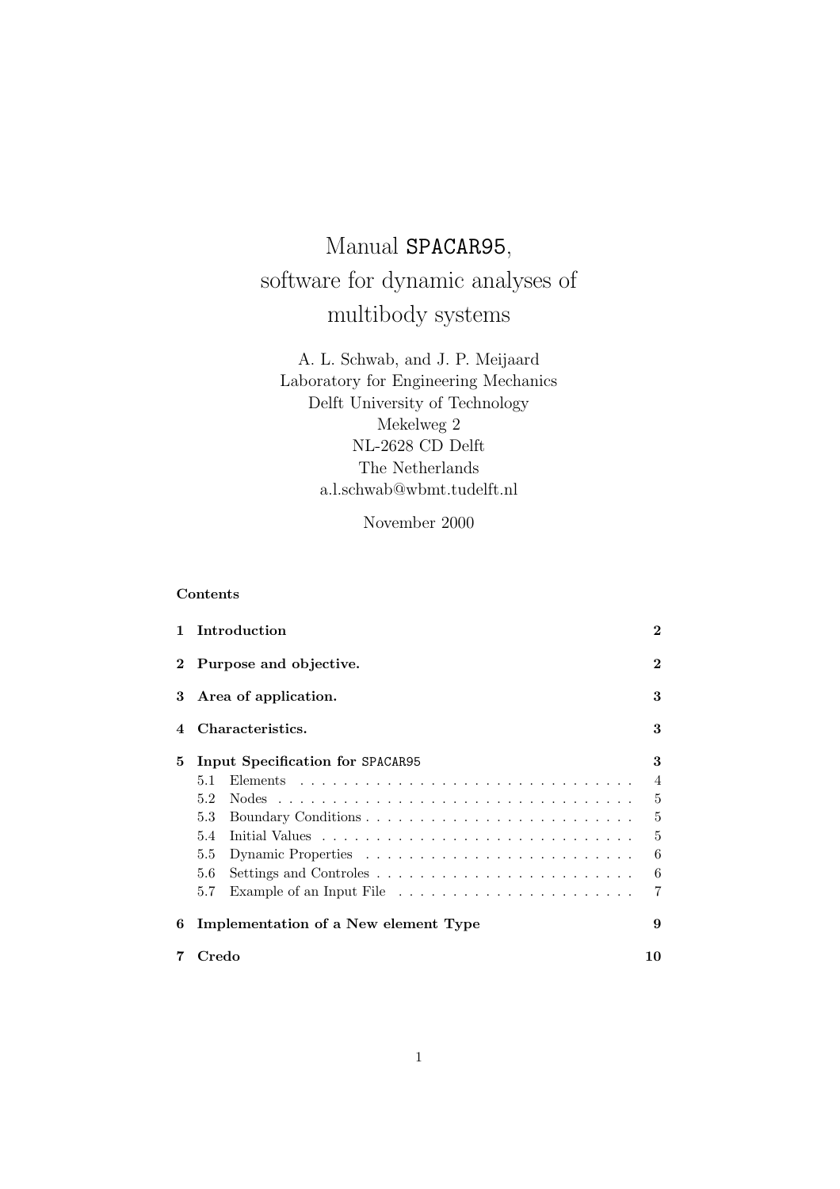# Manual SPACAR95, software for dynamic analyses of multibody systems

A. L. Schwab, and J. P. Meijaard Laboratory for Engineering Mechanics Delft University of Technology Mekelweg 2 NL-2628 CD Delft The Netherlands a.l.schwab@wbmt.tudelft.nl

November 2000

## Contents

| 1            | Introduction                          |                |  |  |  |  |  |  |  |  |  |  |
|--------------|---------------------------------------|----------------|--|--|--|--|--|--|--|--|--|--|
| $\mathbf{2}$ | Purpose and objective.                |                |  |  |  |  |  |  |  |  |  |  |
| 3            | Area of application.                  |                |  |  |  |  |  |  |  |  |  |  |
| 4            | Characteristics.                      |                |  |  |  |  |  |  |  |  |  |  |
| 5            | 3<br>Input Specification for SPACAR95 |                |  |  |  |  |  |  |  |  |  |  |
|              | 5.1                                   | $\overline{4}$ |  |  |  |  |  |  |  |  |  |  |
|              | 5.2                                   | 5              |  |  |  |  |  |  |  |  |  |  |
|              | 5.3                                   | 5              |  |  |  |  |  |  |  |  |  |  |
|              | 5.4                                   | 5              |  |  |  |  |  |  |  |  |  |  |
|              | $5.5\,$                               | 6              |  |  |  |  |  |  |  |  |  |  |
|              | 5.6                                   | 6              |  |  |  |  |  |  |  |  |  |  |
|              | 5.7                                   | 7              |  |  |  |  |  |  |  |  |  |  |
| 6            | Implementation of a New element Type  | 9              |  |  |  |  |  |  |  |  |  |  |
|              | Credo<br>10                           |                |  |  |  |  |  |  |  |  |  |  |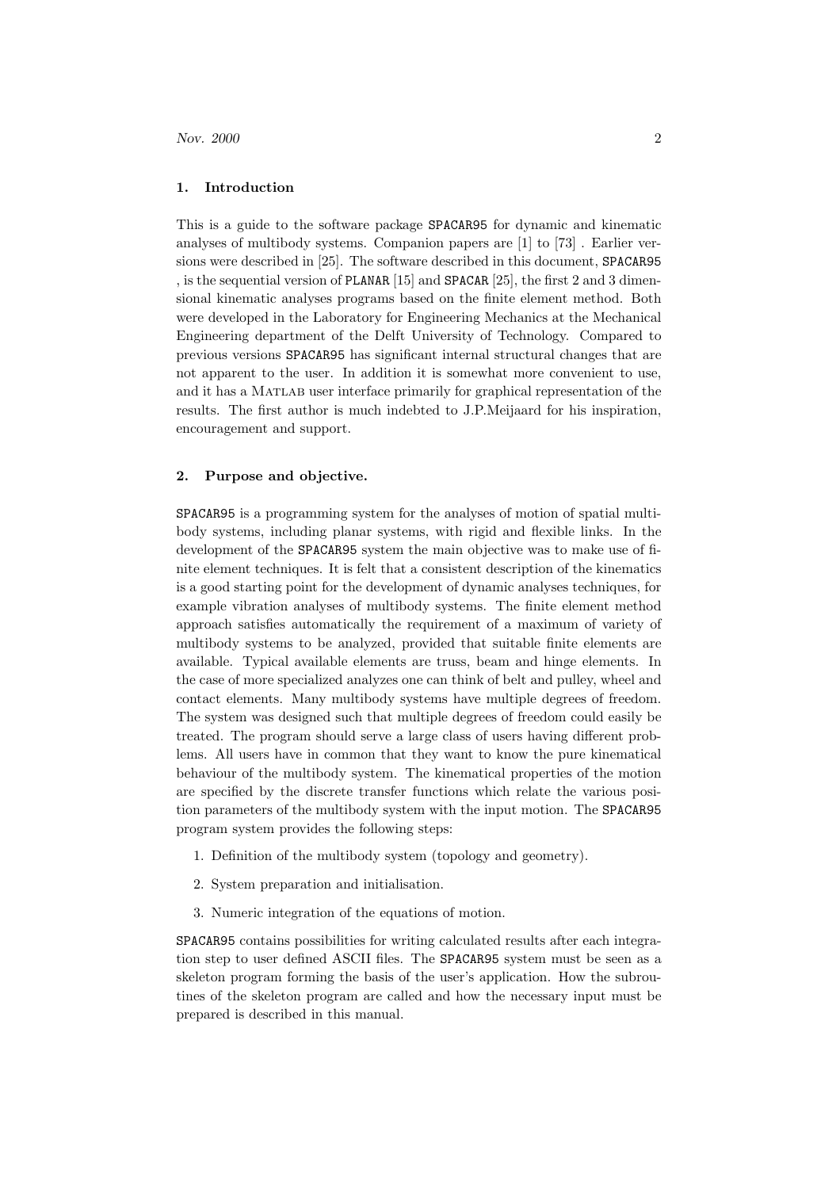## 1. Introduction

This is a guide to the software package SPACAR95 for dynamic and kinematic analyses of multibody systems. Companion papers are [1] to [73] . Earlier versions were described in [25]. The software described in this document, SPACAR95 , is the sequential version of PLANAR [15] and SPACAR [25], the first 2 and 3 dimensional kinematic analyses programs based on the finite element method. Both were developed in the Laboratory for Engineering Mechanics at the Mechanical Engineering department of the Delft University of Technology. Compared to previous versions SPACAR95 has significant internal structural changes that are not apparent to the user. In addition it is somewhat more convenient to use, and it has a Matlab user interface primarily for graphical representation of the results. The first author is much indebted to J.P.Meijaard for his inspiration, encouragement and support.

#### 2. Purpose and objective.

SPACAR95 is a programming system for the analyses of motion of spatial multibody systems, including planar systems, with rigid and flexible links. In the development of the SPACAR95 system the main objective was to make use of finite element techniques. It is felt that a consistent description of the kinematics is a good starting point for the development of dynamic analyses techniques, for example vibration analyses of multibody systems. The finite element method approach satisfies automatically the requirement of a maximum of variety of multibody systems to be analyzed, provided that suitable finite elements are available. Typical available elements are truss, beam and hinge elements. In the case of more specialized analyzes one can think of belt and pulley, wheel and contact elements. Many multibody systems have multiple degrees of freedom. The system was designed such that multiple degrees of freedom could easily be treated. The program should serve a large class of users having different problems. All users have in common that they want to know the pure kinematical behaviour of the multibody system. The kinematical properties of the motion are specified by the discrete transfer functions which relate the various position parameters of the multibody system with the input motion. The SPACAR95 program system provides the following steps:

- 1. Definition of the multibody system (topology and geometry).
- 2. System preparation and initialisation.
- 3. Numeric integration of the equations of motion.

SPACAR95 contains possibilities for writing calculated results after each integration step to user defined ASCII files. The SPACAR95 system must be seen as a skeleton program forming the basis of the user's application. How the subroutines of the skeleton program are called and how the necessary input must be prepared is described in this manual.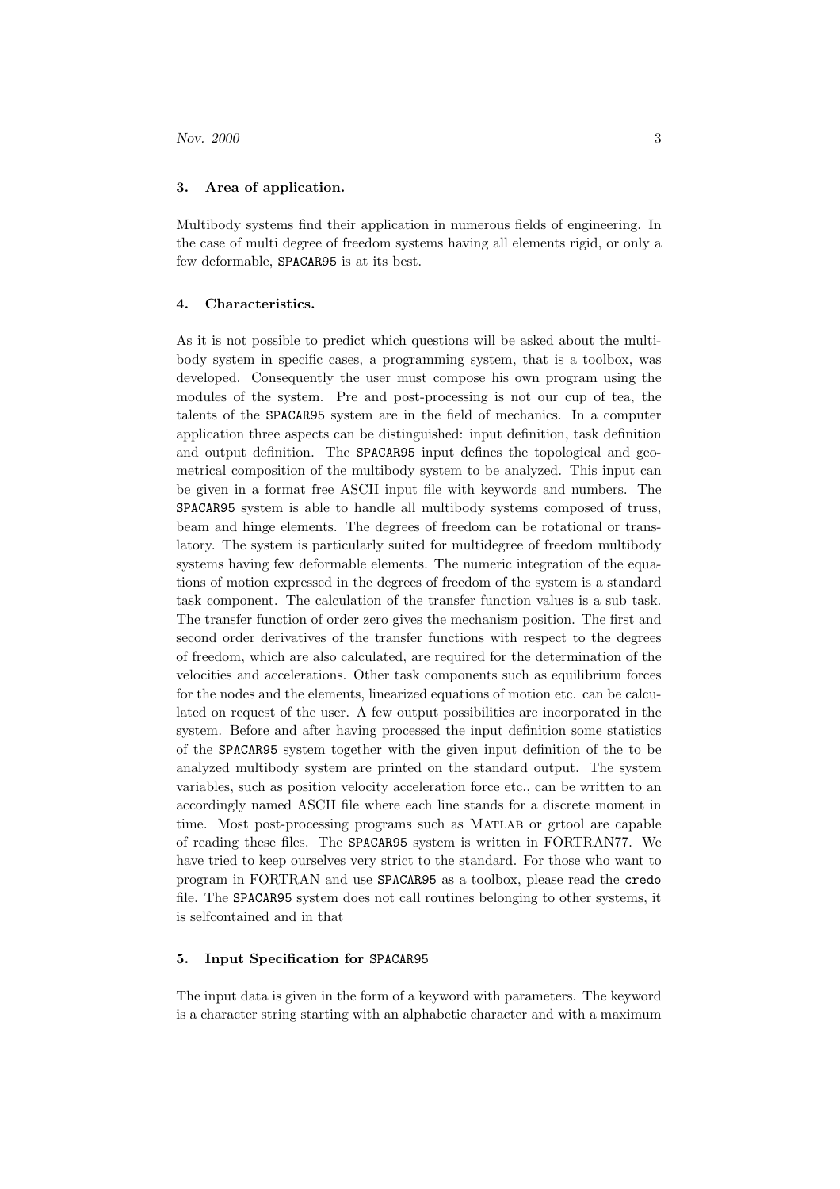### 3. Area of application.

Multibody systems find their application in numerous fields of engineering. In the case of multi degree of freedom systems having all elements rigid, or only a few deformable, SPACAR95 is at its best.

#### 4. Characteristics.

As it is not possible to predict which questions will be asked about the multibody system in specific cases, a programming system, that is a toolbox, was developed. Consequently the user must compose his own program using the modules of the system. Pre and post-processing is not our cup of tea, the talents of the SPACAR95 system are in the field of mechanics. In a computer application three aspects can be distinguished: input definition, task definition and output definition. The SPACAR95 input defines the topological and geometrical composition of the multibody system to be analyzed. This input can be given in a format free ASCII input file with keywords and numbers. The SPACAR95 system is able to handle all multibody systems composed of truss, beam and hinge elements. The degrees of freedom can be rotational or translatory. The system is particularly suited for multidegree of freedom multibody systems having few deformable elements. The numeric integration of the equations of motion expressed in the degrees of freedom of the system is a standard task component. The calculation of the transfer function values is a sub task. The transfer function of order zero gives the mechanism position. The first and second order derivatives of the transfer functions with respect to the degrees of freedom, which are also calculated, are required for the determination of the velocities and accelerations. Other task components such as equilibrium forces for the nodes and the elements, linearized equations of motion etc. can be calculated on request of the user. A few output possibilities are incorporated in the system. Before and after having processed the input definition some statistics of the SPACAR95 system together with the given input definition of the to be analyzed multibody system are printed on the standard output. The system variables, such as position velocity acceleration force etc., can be written to an accordingly named ASCII file where each line stands for a discrete moment in time. Most post-processing programs such as MATLAB or grtool are capable of reading these files. The SPACAR95 system is written in FORTRAN77. We have tried to keep ourselves very strict to the standard. For those who want to program in FORTRAN and use SPACAR95 as a toolbox, please read the credo file. The SPACAR95 system does not call routines belonging to other systems, it is selfcontained and in that

## 5. Input Specification for SPACAR95

The input data is given in the form of a keyword with parameters. The keyword is a character string starting with an alphabetic character and with a maximum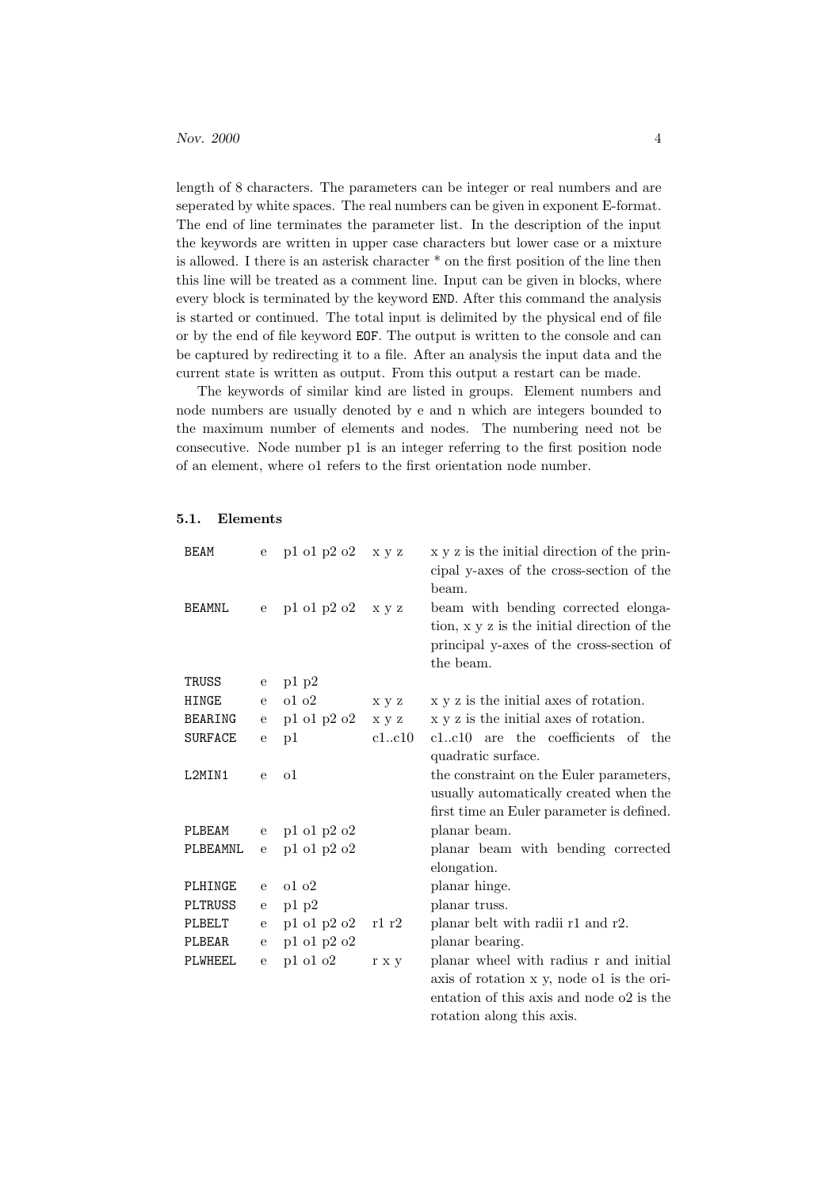length of 8 characters. The parameters can be integer or real numbers and are seperated by white spaces. The real numbers can be given in exponent E-format. The end of line terminates the parameter list. In the description of the input the keywords are written in upper case characters but lower case or a mixture is allowed. I there is an asterisk character \* on the first position of the line then this line will be treated as a comment line. Input can be given in blocks, where every block is terminated by the keyword END. After this command the analysis is started or continued. The total input is delimited by the physical end of file or by the end of file keyword EOF. The output is written to the console and can be captured by redirecting it to a file. After an analysis the input data and the current state is written as output. From this output a restart can be made.

The keywords of similar kind are listed in groups. Element numbers and node numbers are usually denoted by e and n which are integers bounded to the maximum number of elements and nodes. The numbering need not be consecutive. Node number p1 is an integer referring to the first position node of an element, where o1 refers to the first orientation node number.

#### 5.1. Elements

| <b>BEAM</b>    | e            | p1 o1 p2 o2                   | x y z | x y z is the initial direction of the prin-<br>cipal y-axes of the cross-section of the<br>beam.                                            |
|----------------|--------------|-------------------------------|-------|---------------------------------------------------------------------------------------------------------------------------------------------|
| <b>BEAMNL</b>  | $\mathbf{e}$ | p1 o1 p2 o2                   | x y z | beam with bending corrected elonga-<br>tion, x y z is the initial direction of the<br>principal y-axes of the cross-section of<br>the beam. |
| TRUSS          | $\mathbf{e}$ | p1 p2                         |       |                                                                                                                                             |
| HINGE          | ${\bf e}$    | 0102                          | x y z | x y z is the initial axes of rotation.                                                                                                      |
| <b>BEARING</b> | ${\rm e}$    | p1 o1 p2 o2                   | x y z | x y z is the initial axes of rotation.                                                                                                      |
| <b>SURFACE</b> | ${\bf e}$    | p1                            | c1c10 | c1c10 are the coefficients of the                                                                                                           |
|                |              |                               |       | quadratic surface.                                                                                                                          |
| L2MIN1         | $\mathbf{e}$ | $\Omega$                      |       | the constraint on the Euler parameters,                                                                                                     |
|                |              |                               |       | usually automatically created when the                                                                                                      |
|                |              |                               |       | first time an Euler parameter is defined.                                                                                                   |
| PLBEAM         | $\mathbf e$  | $p1$ ol $p2$ o2               |       | planar beam.                                                                                                                                |
| PLBEAMNL       | ${\bf e}$    | p1 o1 p2 o2                   |       | planar beam with bending corrected                                                                                                          |
|                |              |                               |       | elongation.                                                                                                                                 |
| PLHINGE        | $\mathbf{e}$ | 0102                          |       | planar hinge.                                                                                                                               |
| PLTRUSS        | $\mathbf{e}$ | p1 p2                         |       | planar truss.                                                                                                                               |
| PLBELT         | ${\bf e}$    | $\rm{p1}$ o<br>1 $\rm{p2}$ o2 | r1 r2 | planar belt with radii r1 and r2.                                                                                                           |
| PLBEAR         | ${\bf e}$    | p1 o1 p2 o2                   |       | planar bearing.                                                                                                                             |
| PLWHEEL        | ${\bf e}$    | $p1$ ol o $2$                 | r x y | planar wheel with radius r and initial                                                                                                      |
|                |              |                               |       | axis of rotation x y, node of is the ori-                                                                                                   |
|                |              |                               |       | entation of this axis and node o2 is the                                                                                                    |
|                |              |                               |       | rotation along this axis.                                                                                                                   |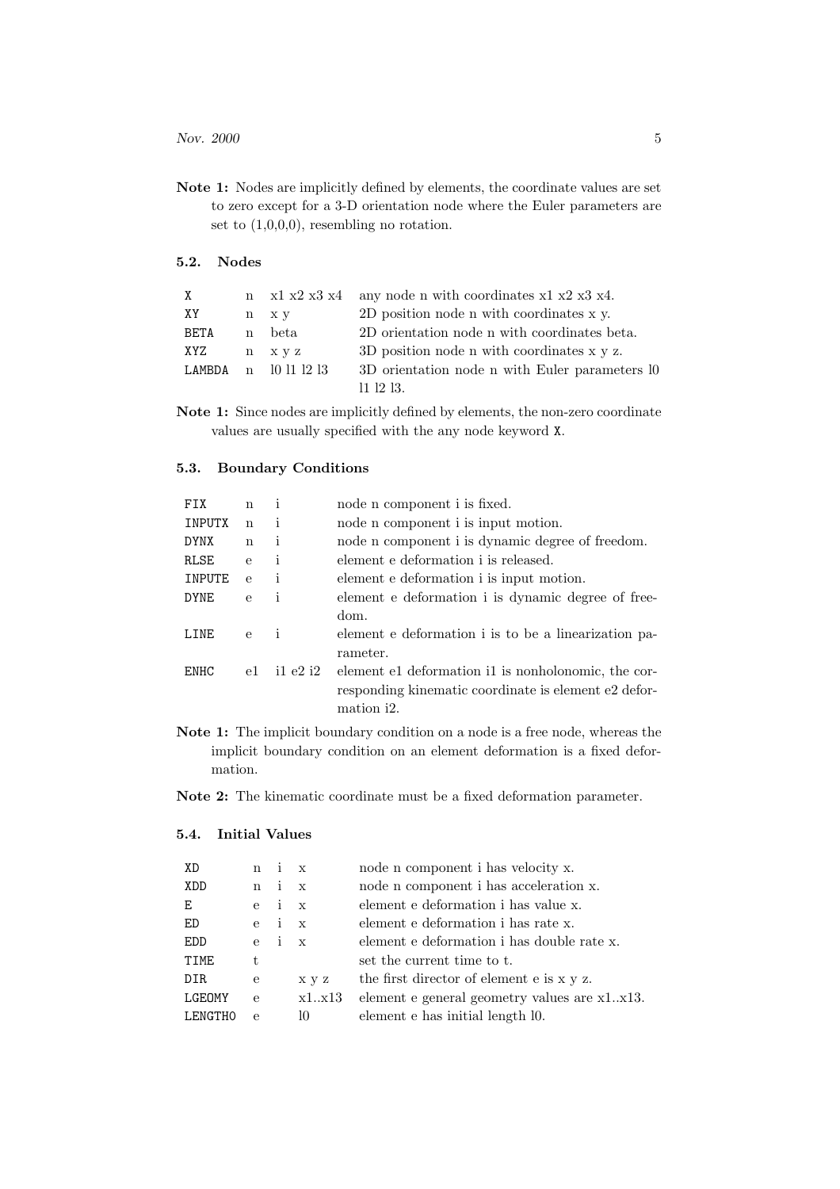Note 1: Nodes are implicitly defined by elements, the coordinate values are set to zero except for a 3-D orientation node where the Euler parameters are set to (1,0,0,0), resembling no rotation.

## 5.2. Nodes

| X    |                        | $n \times 1$ x2 x3 x4 any node n with coordinates x1 x2 x3 x4. |
|------|------------------------|----------------------------------------------------------------|
| XY   | n x y                  | 2D position node n with coordinates x y.                       |
| BETA | n beta                 | 2D orientation node n with coordinates beta.                   |
| XYZ  | n x y z                | 3D position node n with coordinates x y z.                     |
|      | LAMBDA $n$ 10 11 12 13 | 3D orientation node n with Euler parameters 10                 |
|      |                        | $11 \t12 \t13.$                                                |

Note 1: Since nodes are implicitly defined by elements, the non-zero coordinate values are usually specified with the any node keyword X.

## 5.3. Boundary Conditions

| <b>FTX</b>  | n            | $\mathbf{1}$ | node n component i is fixed.                         |
|-------------|--------------|--------------|------------------------------------------------------|
| INPUTX      | $\mathbf n$  | i            | node n component i is input motion.                  |
| <b>DYNX</b> | $\mathbf n$  | i            | node n component i is dynamic degree of freedom.     |
| RLSE        | $\mathbf{e}$ | $\mathbf{i}$ | element e deformation i is released.                 |
| INPUTE      | $\mathbf{e}$ | $\mathbf{1}$ | element e deformation i is input motion.             |
| <b>DYNE</b> | $\mathbf{e}$ | i            | element e deformation i is dynamic degree of free-   |
|             |              |              | dom.                                                 |
| LINE        | $\mathbf{e}$ | $\mathbf{i}$ | element e deformation i is to be a linearization pa- |
|             |              |              | rameter.                                             |
| <b>ENHC</b> | e1           | $i1$ e2 $i2$ | element e1 deformation i1 is nonholonomic, the cor-  |
|             |              |              | responding kinematic coordinate is element e2 defor- |
|             |              |              | mation i2.                                           |

Note 1: The implicit boundary condition on a node is a free node, whereas the implicit boundary condition on an element deformation is a fixed deformation.

Note 2: The kinematic coordinate must be a fixed deformation parameter.

## 5.4. Initial Values

| XD                            | n            | $\mathbf{i}$ | $\mathbf{x}$                           | node n component i has velocity x.            |  |
|-------------------------------|--------------|--------------|----------------------------------------|-----------------------------------------------|--|
| i<br>XDD<br>$\mathbf{x}$<br>n |              |              | node n component i has acceleration x. |                                               |  |
| Ε                             | $\mathbf{e}$ | i.           | $\mathbf{x}$                           | element e deformation i has value x.          |  |
| ED                            | $\mathbf{e}$ | i.           | $\mathbf{x}$                           | element e deformation i has rate x.           |  |
| <b>EDD</b>                    | $\mathbf{e}$ | i.           | $\mathbf{x}$                           | element e deformation i has double rate x.    |  |
| TIME                          | t.           |              |                                        | set the current time to t.                    |  |
| <b>DIR</b>                    | e            |              | x y z                                  | the first director of element e is x y z.     |  |
| LGEOMY                        | $\epsilon$   |              | x1.x13                                 | element e general geometry values are x1.x13. |  |
| <b>LENGTHO</b>                | $\mathbf{e}$ |              | 10                                     | element e has initial length 10.              |  |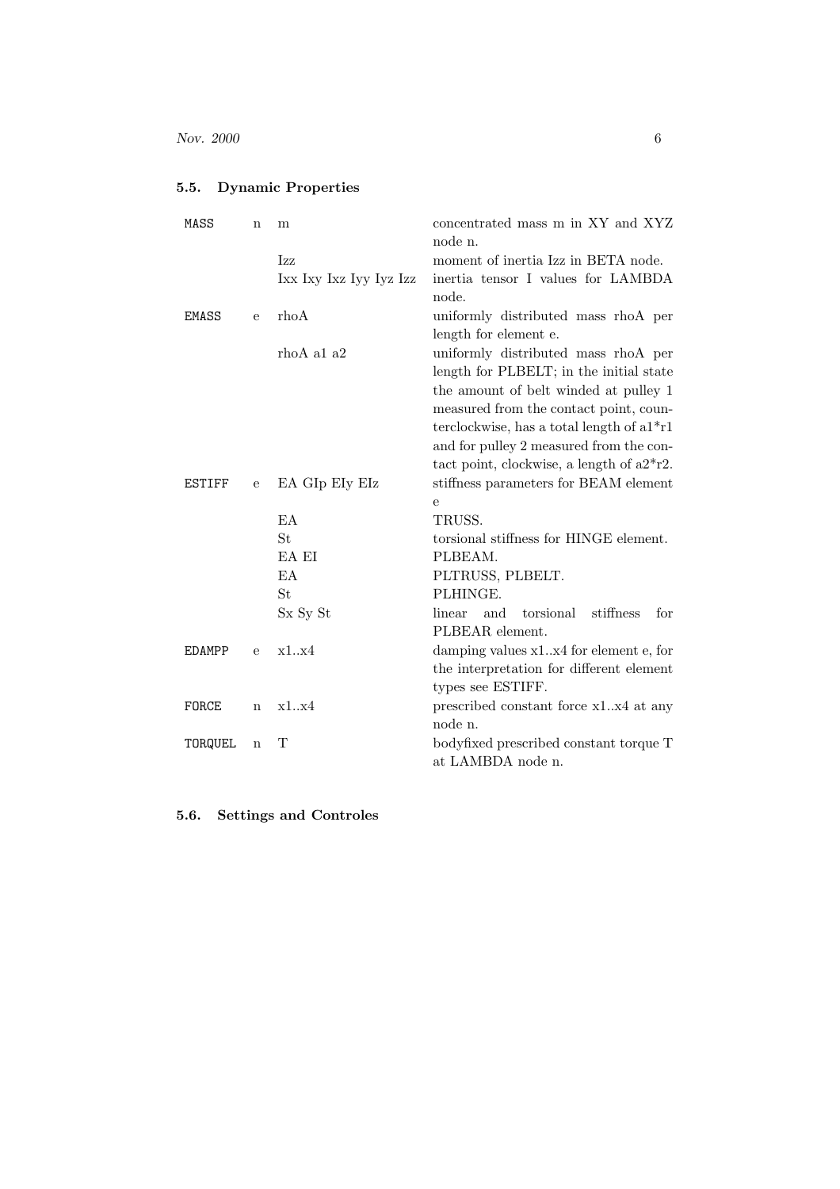## 5.5. Dynamic Properties

| MASS          | n            | m                       | concentrated mass m in XY and XYZ              |  |  |
|---------------|--------------|-------------------------|------------------------------------------------|--|--|
|               |              |                         | node n.                                        |  |  |
|               |              | Izz                     | moment of inertia Izz in BETA node.            |  |  |
|               |              | Ixx Ixy Ixz Iyy Iyz Izz | inertia tensor I values for LAMBDA             |  |  |
|               |              |                         | node.                                          |  |  |
| <b>EMASS</b>  | e            | rhoA                    | uniformly distributed mass rhoA per            |  |  |
|               |              |                         | length for element e.                          |  |  |
|               |              | rhoA a1 a2              | uniformly distributed mass rhoA per            |  |  |
|               |              |                         | length for PLBELT; in the initial state        |  |  |
|               |              |                         | the amount of belt winded at pulley 1          |  |  |
|               |              |                         | measured from the contact point, coun-         |  |  |
|               |              |                         | terclockwise, has a total length of $a1^*r1$   |  |  |
|               |              |                         | and for pulley 2 measured from the con-        |  |  |
|               |              |                         | tact point, clockwise, a length of $a2^*r2$ .  |  |  |
| ESTIFF        | $\mathbf{e}$ | EA GIp EIy EIz          | stiffness parameters for BEAM element          |  |  |
|               |              |                         | е                                              |  |  |
|               |              | EA                      | TRUSS.                                         |  |  |
|               |              | St.                     | torsional stiffness for HINGE element.         |  |  |
|               |              | EA EI                   | PLBEAM.                                        |  |  |
|               |              | EA                      | PLTRUSS, PLBELT.                               |  |  |
|               |              | St.                     | PLHINGE.                                       |  |  |
|               |              | Sx Sy St                | torsional<br>stiffness<br>for<br>linear<br>and |  |  |
|               |              |                         | PLBEAR element.                                |  |  |
| <b>EDAMPP</b> | e            | x1.x4                   | damping values x1.x4 for element e, for        |  |  |
|               |              |                         | the interpretation for different element       |  |  |
|               |              |                         | types see ESTIFF.                              |  |  |
| FORCE         | $\mathbf n$  | x1.x4                   | prescribed constant force x1.x4 at any         |  |  |
|               |              |                         | node n.                                        |  |  |
| TORQUEL       | $\mathbf n$  | Т                       | bodyfixed prescribed constant torque T         |  |  |
|               |              |                         | at LAMBDA node n.                              |  |  |

5.6. Settings and Controles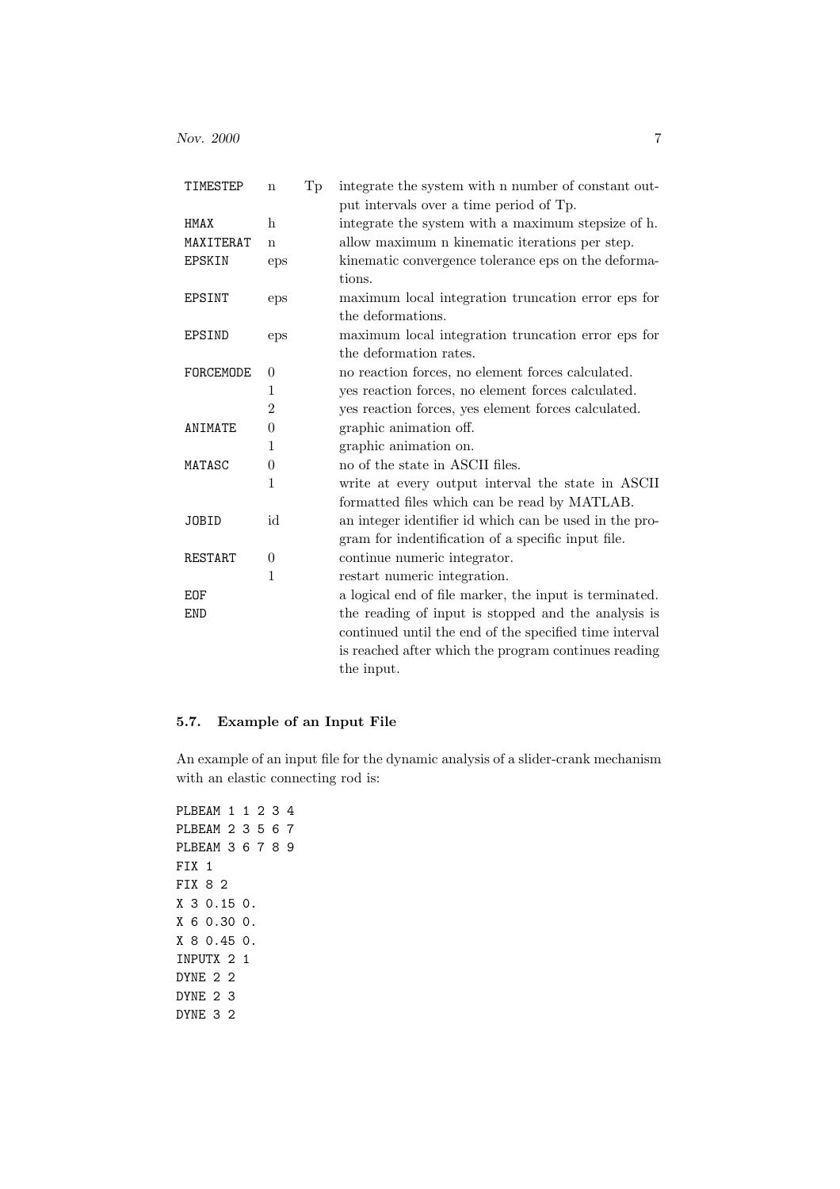| Tр<br>TIMESTEP<br>$\mathbf n$ |                | integrate the system with a number of constant out-<br>put intervals over a time period of Tp.               |  |  |
|-------------------------------|----------------|--------------------------------------------------------------------------------------------------------------|--|--|
| HMAX                          | $\mathbf h$    | integrate the system with a maximum stepsize of h.                                                           |  |  |
| MAXITERAT                     | n              | allow maximum n kinematic iterations per step.                                                               |  |  |
| EPSKIN                        | eps            | kinematic convergence tolerance eps on the deforma-<br>tions.                                                |  |  |
| EPSINT                        | eps            | maximum local integration truncation error eps for                                                           |  |  |
|                               |                | the deformations.                                                                                            |  |  |
| <b>EPSIND</b>                 | eps            | maximum local integration truncation error eps for                                                           |  |  |
|                               |                | the deformation rates.                                                                                       |  |  |
| FORCEMODE                     | $\theta$       | no reaction forces, no element forces calculated.                                                            |  |  |
|                               | 1              | yes reaction forces, no element forces calculated.                                                           |  |  |
|                               | $\overline{2}$ | yes reaction forces, yes element forces calculated.                                                          |  |  |
| ANIMATE                       | $\theta$       | graphic animation off.                                                                                       |  |  |
|                               | 1              | graphic animation on.                                                                                        |  |  |
| MATASC                        | $\theta$       | no of the state in ASCII files.                                                                              |  |  |
|                               | $\mathbf 1$    | write at every output interval the state in ASCII                                                            |  |  |
|                               |                | formatted files which can be read by MATLAB.                                                                 |  |  |
| <b>JOBID</b>                  | id             | an integer identifier id which can be used in the pro-<br>gram for indentification of a specific input file. |  |  |
| RESTART                       | $\theta$       | continue numeric integrator.                                                                                 |  |  |
|                               | $\mathbf{1}$   | restart numeric integration.                                                                                 |  |  |
| <b>EOF</b>                    |                |                                                                                                              |  |  |
|                               |                | a logical end of file marker, the input is terminated.                                                       |  |  |
| <b>END</b>                    |                | the reading of input is stopped and the analysis is                                                          |  |  |
|                               |                | continued until the end of the specified time interval                                                       |  |  |
|                               |                | is reached after which the program continues reading                                                         |  |  |
|                               |                | the input.                                                                                                   |  |  |

## 5.7. Example of an Input File

An example of an input file for the dynamic analysis of a slider-crank mechanism with an elastic connecting rod is:

```
PLBEAM 1 1 2 3 4
PLBEAM 2 3 5 6 7
PLBEAM 3 6 7 8 9
FIX 1
FIX 8 2
X 3 0.15 0.
X 6 0.30 0.
X 8 0.45 0.
INPUTX 2 1
DYNE 2 2
DYNE 2 3
DYNE 3 2
```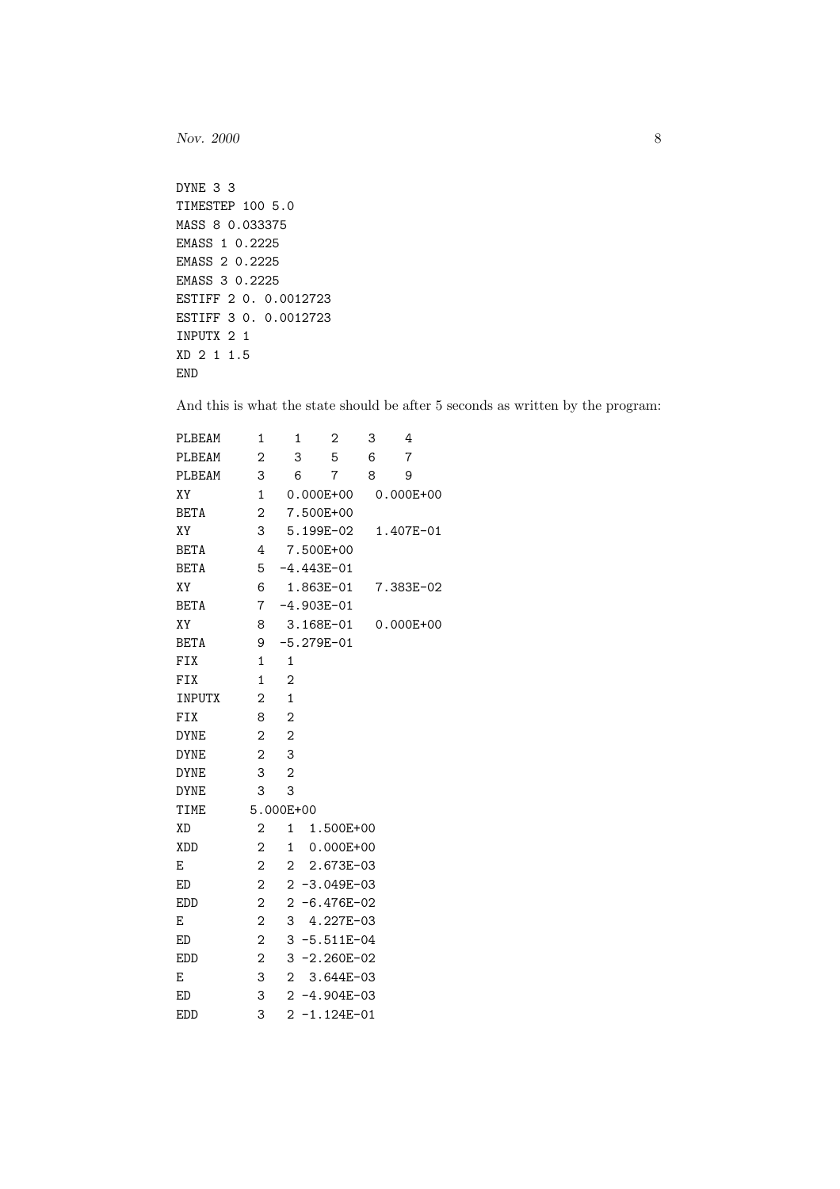```
DYNE 3 3
TIMESTEP 100 5.0
MASS 8 0.033375
EMASS 1 0.2225
EMASS 2 0.2225
EMASS 3 0.2225
ESTIFF 2 0. 0.0012723
ESTIFF 3 0. 0.0012723
INPUTX 2 1
XD 2 1 1.5
END
```
And this is what the state should be after 5 seconds as written by the program:

| PLBEAM      | 1              | $\mathbf 1$    | 2                 | 3 | 4              |
|-------------|----------------|----------------|-------------------|---|----------------|
| PLBEAM      | $\overline{2}$ | 3              | 5                 | 6 | $\overline{7}$ |
| PLBEAM      | 3              | 6              | $\overline{7}$    | 8 | 9              |
| XY          | 1              |                | $0.000E + 00$     |   | 0.000E+00      |
| <b>BETA</b> | 2              |                | 7.500E+00         |   |                |
| XY          | 3              |                | 5.199E-02         |   | 1.407E-01      |
| <b>BETA</b> | 4              |                | 7.500E+00         |   |                |
| <b>BETA</b> | 5              |                | $-4.443E-01$      |   |                |
| XY          | 6              |                | 1.863E-01         |   | 7.383E-02      |
| <b>BETA</b> | $7^{\circ}$    |                | $-4.903E-01$      |   |                |
| XY          | 8              |                | 3.168E-01         |   | $0.000E + 00$  |
| <b>BETA</b> | 9              |                | $-5.279E-01$      |   |                |
| FIX         | 1              | 1              |                   |   |                |
| FIX         | 1              | $\mathbf{2}$   |                   |   |                |
| INPUTX      | $\overline{2}$ | $\mathbf{1}$   |                   |   |                |
| <b>FIX</b>  | 8              | $\overline{2}$ |                   |   |                |
| <b>DYNE</b> | $\overline{2}$ | $\overline{2}$ |                   |   |                |
| <b>DYNE</b> | $\overline{2}$ | 3              |                   |   |                |
| <b>DYNE</b> | 3              | $\overline{2}$ |                   |   |                |
| <b>DYNE</b> | 3              | 3              |                   |   |                |
| <b>TIME</b> |                | 5.000E+00      |                   |   |                |
| <b>XD</b>   | $\mathbf 2$    | 1              | 1.500E+00         |   |                |
| <b>XDD</b>  | $\overline{2}$ | $\mathbf{1}$   | $0.000E + 00$     |   |                |
| E           | $\mathbf 2$    | $\overline{2}$ | 2.673E-03         |   |                |
| <b>ED</b>   | $\overline{2}$ |                | $2 - 3.049E - 03$ |   |                |
| <b>EDD</b>  | $\overline{2}$ |                | $2 - 6.476E - 02$ |   |                |
| E           | $\mathbf 2$    | 3              | 4.227E-03         |   |                |
| ED          | $\mathbf 2$    |                | 3 -5.511E-04      |   |                |
| <b>EDD</b>  | $\overline{2}$ |                | $3 - 2.260E - 02$ |   |                |
| E           | 3              | $\mathbf{2}$   | 3.644E-03         |   |                |
| ED          | 3              |                | $2 - 4.904E - 03$ |   |                |
| <b>EDD</b>  | 3              | $\overline{2}$ | $-1.124E-01$      |   |                |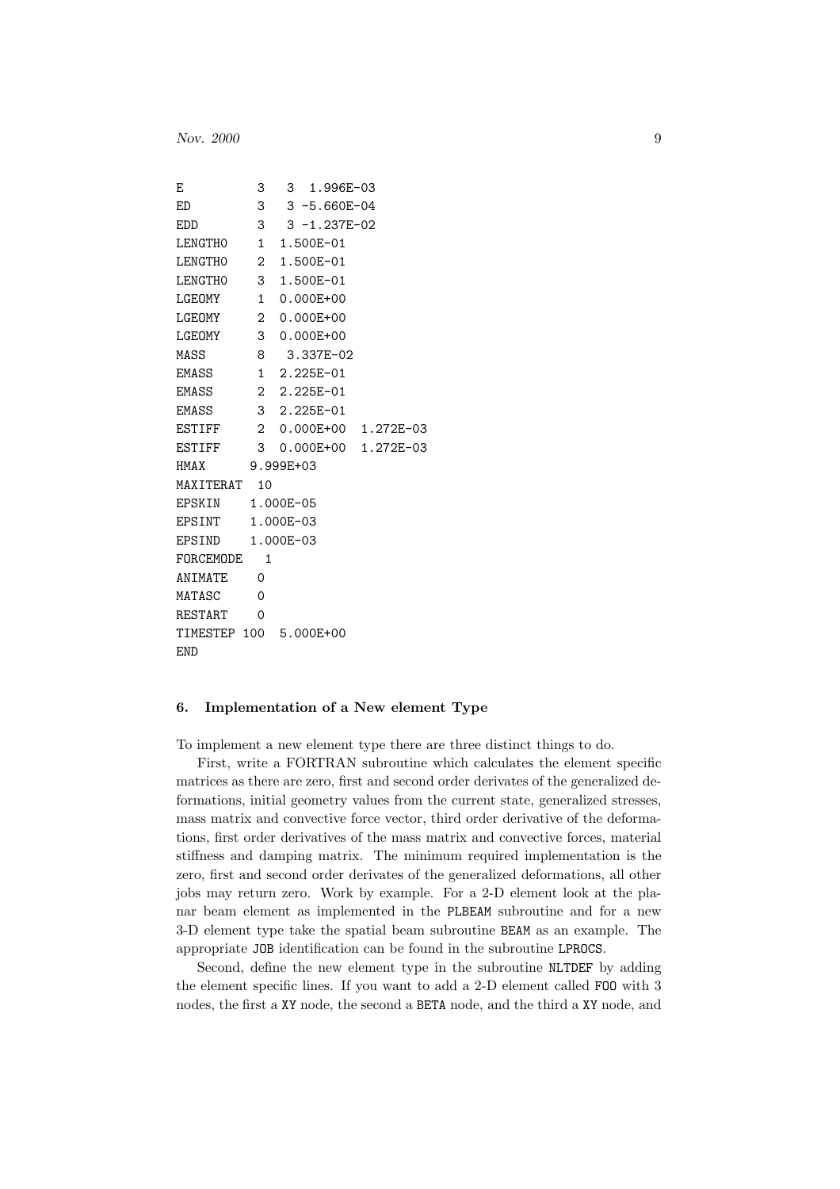```
E 3 3 1.996E-03
ED 3 3 -5.660E-04
EDD 3 3 -1.237E-02
LENGTH0 1 1.500E-01
LENGTH0 2 1.500E-01
LENGTH0 3 1.500E-01
LGEOMY 1 0.000E+00
LGEOMY 2 0.000E+00
LGEOMY 3 0.000E+00
MASS 8 3.337E-02
EMASS 1 2.225E-01
EMASS 2 2.225E-01
EMASS 3 2.225E-01
ESTIFF 2 0.000E+00 1.272E-03
ESTIFF 3 0.000E+00 1.272E-03
HMAX 9.999E+03
MAXITERAT 10
EPSKIN 1.000E-05
EPSINT 1.000E-03
EPSIND 1.000E-03
FORCEMODE 1
ANIMATE 0
MATASC 0
RESTART 0
TIMESTEP 100 5.000E+00
END
```
### 6. Implementation of a New element Type

To implement a new element type there are three distinct things to do.

First, write a FORTRAN subroutine which calculates the element specific matrices as there are zero, first and second order derivates of the generalized deformations, initial geometry values from the current state, generalized stresses, mass matrix and convective force vector, third order derivative of the deformations, first order derivatives of the mass matrix and convective forces, material stiffness and damping matrix. The minimum required implementation is the zero, first and second order derivates of the generalized deformations, all other jobs may return zero. Work by example. For a 2-D element look at the planar beam element as implemented in the PLBEAM subroutine and for a new 3-D element type take the spatial beam subroutine BEAM as an example. The appropriate JOB identification can be found in the subroutine LPROCS.

Second, define the new element type in the subroutine NLTDEF by adding the element specific lines. If you want to add a 2-D element called FOO with 3 nodes, the first a XY node, the second a BETA node, and the third a XY node, and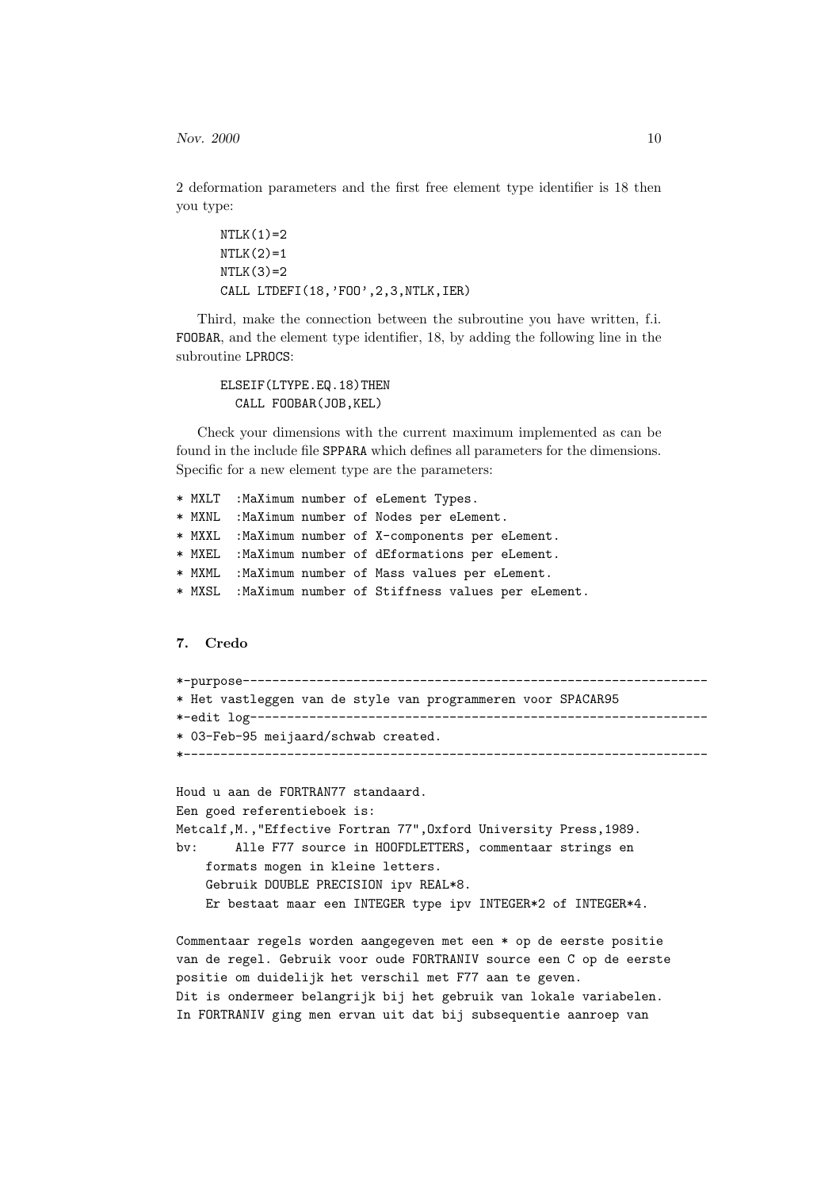2 deformation parameters and the first free element type identifier is 18 then you type:

```
NTLK(1)=2NTLK(2)=1NTLK(3)=2CALL LTDEFI(18,'FOO',2,3,NTLK,IER)
```
Third, make the connection between the subroutine you have written, f.i. FOOBAR, and the element type identifier, 18, by adding the following line in the subroutine LPROCS:

```
ELSEIF(LTYPE.EQ.18)THEN
  CALL FOOBAR(JOB,KEL)
```
Check your dimensions with the current maximum implemented as can be found in the include file SPPARA which defines all parameters for the dimensions. Specific for a new element type are the parameters:

```
* MXLT :MaXimum number of eLement Types.
* MXNL :MaXimum number of Nodes per eLement.
* MXXL :MaXimum number of X-components per eLement.
* MXEL :MaXimum number of dEformations per eLement.
* MXML :MaXimum number of Mass values per eLement.
* MXSL :MaXimum number of Stiffness values per eLement.
```
## 7. Credo

```
*-purpose---------------------------------------------------------------
* Het vastleggen van de style van programmeren voor SPACAR95
*-edit log--------------------------------------------------------------
* 03-Feb-95 meijaard/schwab created.
*-----------------------------------------------------------------------
```

```
Houd u aan de FORTRAN77 standaard.
Een goed referentieboek is:
Metcalf,M.,"Effective Fortran 77",Oxford University Press,1989.
bv: Alle F77 source in HOOFDLETTERS, commentaar strings en
    formats mogen in kleine letters.
    Gebruik DOUBLE PRECISION ipv REAL*8.
    Er bestaat maar een INTEGER type ipv INTEGER*2 of INTEGER*4.
```
Commentaar regels worden aangegeven met een \* op de eerste positie van de regel. Gebruik voor oude FORTRANIV source een C op de eerste positie om duidelijk het verschil met F77 aan te geven. Dit is ondermeer belangrijk bij het gebruik van lokale variabelen. In FORTRANIV ging men ervan uit dat bij subsequentie aanroep van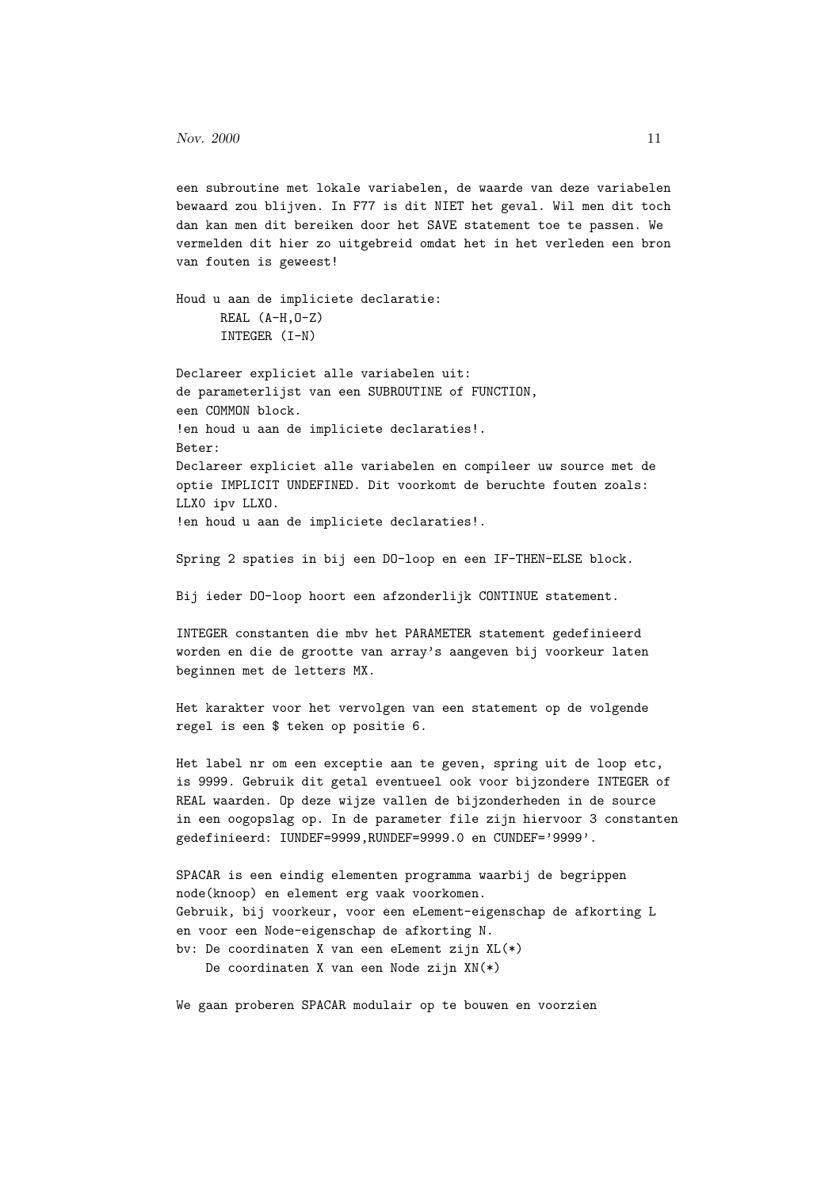een subroutine met lokale variabelen, de waarde van deze variabelen bewaard zou blijven. In F77 is dit NIET het geval. Wil men dit toch dan kan men dit bereiken door het SAVE statement toe te passen. We vermelden dit hier zo uitgebreid omdat het in het verleden een bron van fouten is geweest!

Houd u aan de impliciete declaratie: REAL (A-H,O-Z) INTEGER (I-N)

Declareer expliciet alle variabelen uit: de parameterlijst van een SUBROUTINE of FUNCTION, een COMMON block. !en houd u aan de impliciete declaraties!. Beter: Declareer expliciet alle variabelen en compileer uw source met de optie IMPLICIT UNDEFINED. Dit voorkomt de beruchte fouten zoals: LLX0 ipv LLXO. !en houd u aan de impliciete declaraties!.

Spring 2 spaties in bij een DO-loop en een IF-THEN-ELSE block.

Bij ieder DO-loop hoort een afzonderlijk CONTINUE statement.

INTEGER constanten die mbv het PARAMETER statement gedefinieerd worden en die de grootte van array's aangeven bij voorkeur laten beginnen met de letters MX.

Het karakter voor het vervolgen van een statement op de volgende regel is een \$ teken op positie 6.

Het label nr om een exceptie aan te geven, spring uit de loop etc, is 9999. Gebruik dit getal eventueel ook voor bijzondere INTEGER of REAL waarden. Op deze wijze vallen de bijzonderheden in de source in een oogopslag op. In de parameter file zijn hiervoor 3 constanten gedefinieerd: IUNDEF=9999,RUNDEF=9999.0 en CUNDEF='9999'.

```
SPACAR is een eindig elementen programma waarbij de begrippen
node(knoop) en element erg vaak voorkomen.
Gebruik, bij voorkeur, voor een eLement-eigenschap de afkorting L
en voor een Node-eigenschap de afkorting N.
bv: De coordinaten X van een eLement zijn XL(*)
    De coordinaten X van een Node zijn XN(*)
```
We gaan proberen SPACAR modulair op te bouwen en voorzien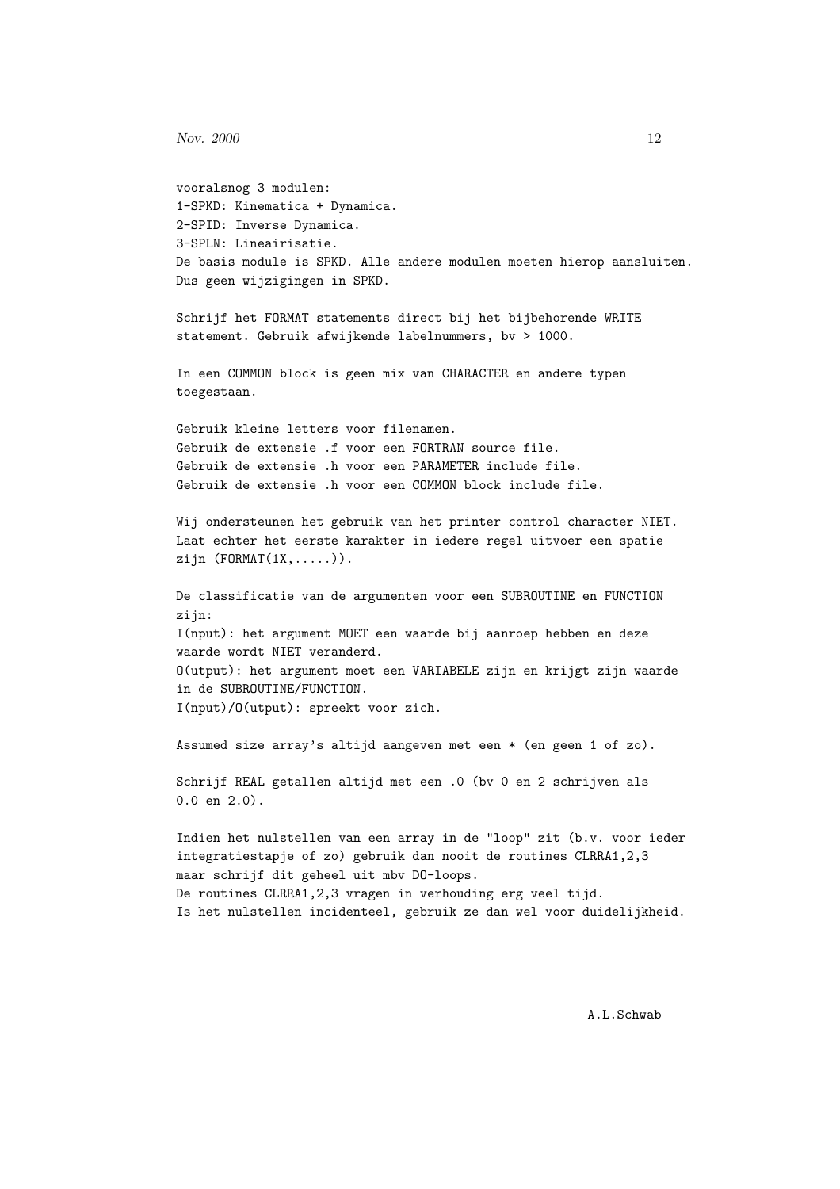```
vooralsnog 3 modulen:
1-SPKD: Kinematica + Dynamica.
2-SPID: Inverse Dynamica.
3-SPLN: Lineairisatie.
De basis module is SPKD. Alle andere modulen moeten hierop aansluiten.
Dus geen wijzigingen in SPKD.
Schrijf het FORMAT statements direct bij het bijbehorende WRITE
statement. Gebruik afwijkende labelnummers, bv > 1000.
In een COMMON block is geen mix van CHARACTER en andere typen
toegestaan.
Gebruik kleine letters voor filenamen.
Gebruik de extensie .f voor een FORTRAN source file.
Gebruik de extensie .h voor een PARAMETER include file.
Gebruik de extensie .h voor een COMMON block include file.
Wij ondersteunen het gebruik van het printer control character NIET.
Laat echter het eerste karakter in iedere regel uitvoer een spatie
zijn (FORMAT(1X,.....)).
De classificatie van de argumenten voor een SUBROUTINE en FUNCTION
zijn:
I(nput): het argument MOET een waarde bij aanroep hebben en deze
waarde wordt NIET veranderd.
O(utput): het argument moet een VARIABELE zijn en krijgt zijn waarde
in de SUBROUTINE/FUNCTION.
I(nput)/O(utput): spreekt voor zich.
Assumed size array's altijd aangeven met een * (en geen 1 of zo).
Schrijf REAL getallen altijd met een .0 (bv 0 en 2 schrijven als
0.0 en 2.0).
Indien het nulstellen van een array in de "loop" zit (b.v. voor ieder
integratiestapje of zo) gebruik dan nooit de routines CLRRA1,2,3
maar schrijf dit geheel uit mbv DO-loops.
De routines CLRRA1,2,3 vragen in verhouding erg veel tijd.
```
Is het nulstellen incidenteel, gebruik ze dan wel voor duidelijkheid.

A.L.Schwab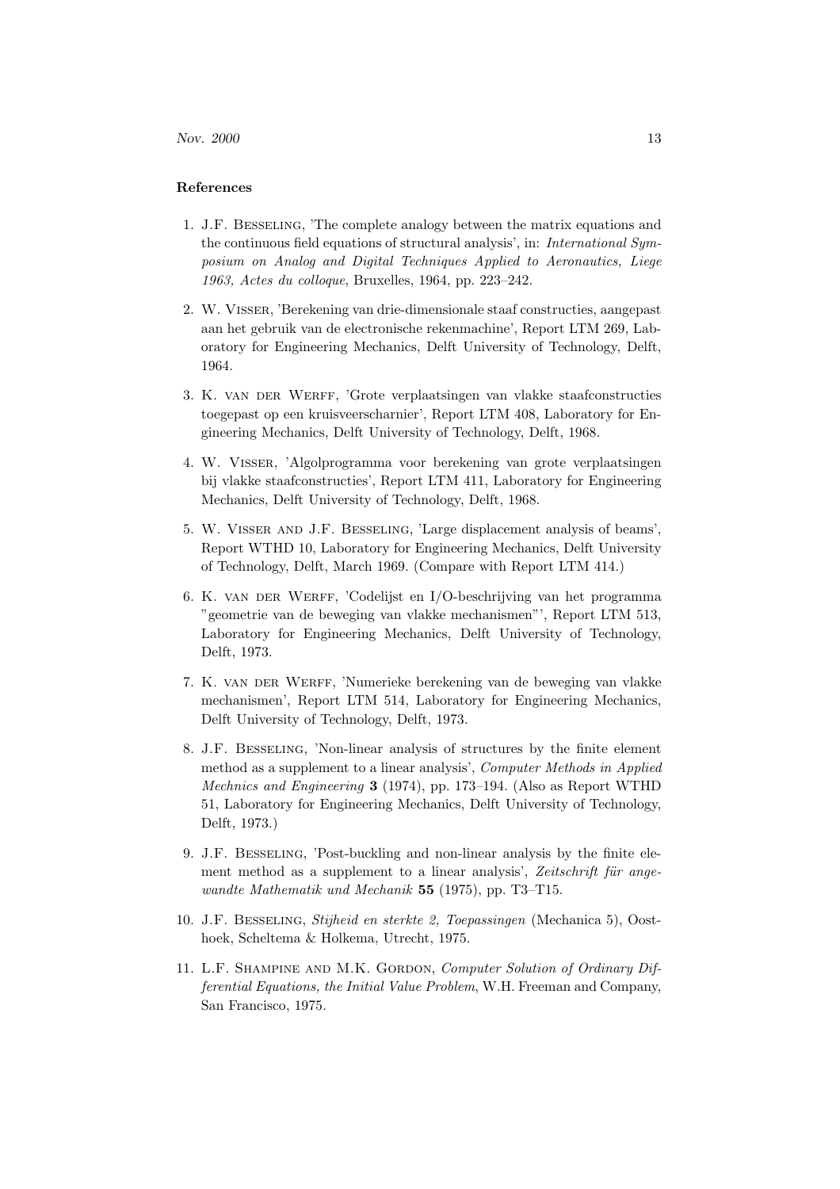## References

- 1. J.F. Besseling, 'The complete analogy between the matrix equations and the continuous field equations of structural analysis', in: International Symposium on Analog and Digital Techniques Applied to Aeronautics, Liege 1963, Actes du colloque, Bruxelles, 1964, pp. 223–242.
- 2. W. Visser, 'Berekening van drie-dimensionale staaf constructies, aangepast aan het gebruik van de electronische rekenmachine', Report LTM 269, Laboratory for Engineering Mechanics, Delft University of Technology, Delft, 1964.
- 3. K. van der Werff, 'Grote verplaatsingen van vlakke staafconstructies toegepast op een kruisveerscharnier', Report LTM 408, Laboratory for Engineering Mechanics, Delft University of Technology, Delft, 1968.
- 4. W. Visser, 'Algolprogramma voor berekening van grote verplaatsingen bij vlakke staafconstructies', Report LTM 411, Laboratory for Engineering Mechanics, Delft University of Technology, Delft, 1968.
- 5. W. Visser and J.F. Besseling, 'Large displacement analysis of beams', Report WTHD 10, Laboratory for Engineering Mechanics, Delft University of Technology, Delft, March 1969. (Compare with Report LTM 414.)
- 6. K. van der Werff, 'Codelijst en I/O-beschrijving van het programma "geometrie van de beweging van vlakke mechanismen"', Report LTM 513, Laboratory for Engineering Mechanics, Delft University of Technology, Delft, 1973.
- 7. K. van der Werff, 'Numerieke berekening van de beweging van vlakke mechanismen', Report LTM 514, Laboratory for Engineering Mechanics, Delft University of Technology, Delft, 1973.
- 8. J.F. Besseling, 'Non-linear analysis of structures by the finite element method as a supplement to a linear analysis', Computer Methods in Applied Mechnics and Engineering 3 (1974), pp. 173–194. (Also as Report WTHD 51, Laboratory for Engineering Mechanics, Delft University of Technology, Delft, 1973.)
- 9. J.F. Besseling, 'Post-buckling and non-linear analysis by the finite element method as a supplement to a linear analysis', Zeitschrift für angewandte Mathematik und Mechanik 55 (1975), pp. T3–T15.
- 10. J.F. Besseling, Stijheid en sterkte 2, Toepassingen (Mechanica 5), Oosthoek, Scheltema & Holkema, Utrecht, 1975.
- 11. L.F. SHAMPINE AND M.K. GORDON, Computer Solution of Ordinary Differential Equations, the Initial Value Problem, W.H. Freeman and Company, San Francisco, 1975.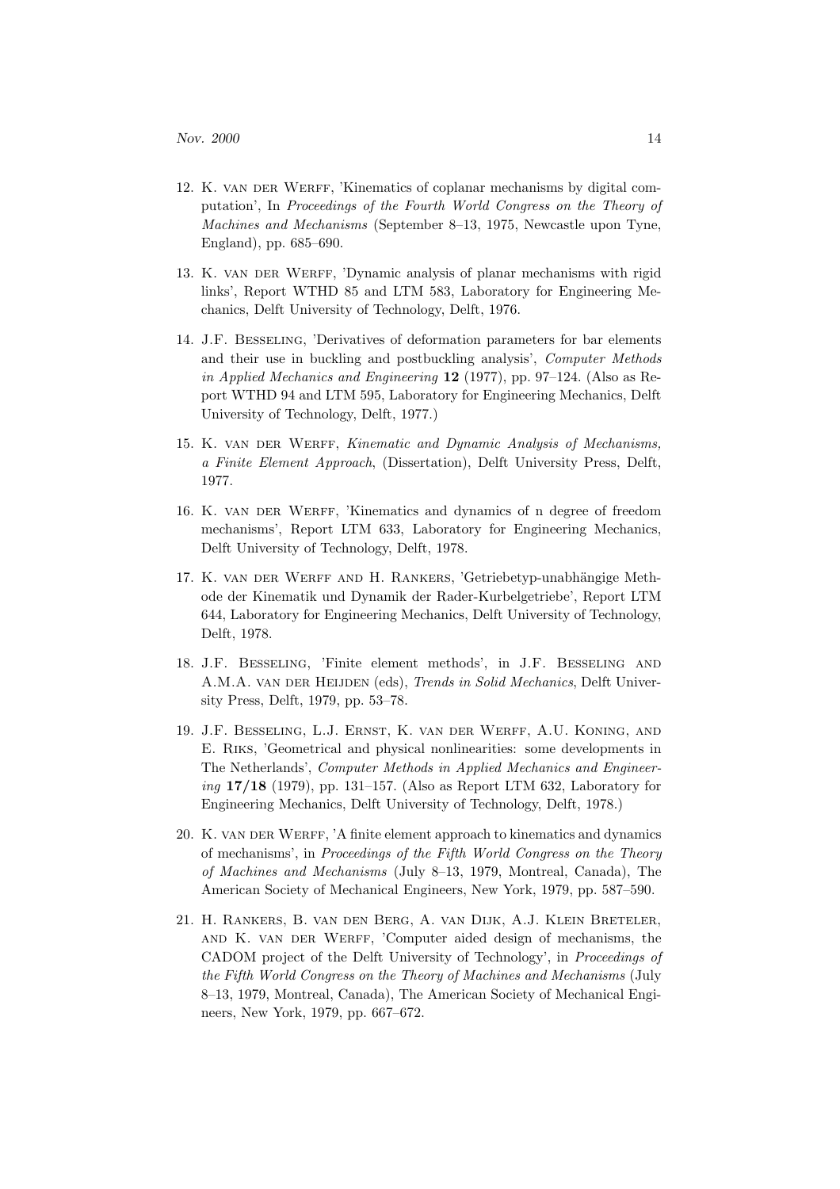- 12. K. van der Werff, 'Kinematics of coplanar mechanisms by digital computation', In Proceedings of the Fourth World Congress on the Theory of Machines and Mechanisms (September 8–13, 1975, Newcastle upon Tyne, England), pp. 685–690.
- 13. K. van der Werff, 'Dynamic analysis of planar mechanisms with rigid links', Report WTHD 85 and LTM 583, Laboratory for Engineering Mechanics, Delft University of Technology, Delft, 1976.
- 14. J.F. Besseling, 'Derivatives of deformation parameters for bar elements and their use in buckling and postbuckling analysis', Computer Methods in Applied Mechanics and Engineering 12 (1977), pp. 97–124. (Also as Report WTHD 94 and LTM 595, Laboratory for Engineering Mechanics, Delft University of Technology, Delft, 1977.)
- 15. K. VAN DER WERFF, Kinematic and Dynamic Analysis of Mechanisms, a Finite Element Approach, (Dissertation), Delft University Press, Delft, 1977.
- 16. K. VAN DER WERFF, 'Kinematics and dynamics of n degree of freedom mechanisms', Report LTM 633, Laboratory for Engineering Mechanics, Delft University of Technology, Delft, 1978.
- 17. K. VAN DER WERFF AND H. RANKERS, 'Getriebetyp-unabhängige Methode der Kinematik und Dynamik der Rader-Kurbelgetriebe', Report LTM 644, Laboratory for Engineering Mechanics, Delft University of Technology, Delft, 1978.
- 18. J.F. Besseling, 'Finite element methods', in J.F. Besseling and A.M.A. VAN DER HEIJDEN (eds), Trends in Solid Mechanics, Delft University Press, Delft, 1979, pp. 53–78.
- 19. J.F. Besseling, L.J. Ernst, K. van der Werff, A.U. Koning, and E. Riks, 'Geometrical and physical nonlinearities: some developments in The Netherlands', Computer Methods in Applied Mechanics and Engineering 17/18 (1979), pp. 131–157. (Also as Report LTM 632, Laboratory for Engineering Mechanics, Delft University of Technology, Delft, 1978.)
- 20. K. VAN DER WERFF, 'A finite element approach to kinematics and dynamics of mechanisms', in Proceedings of the Fifth World Congress on the Theory of Machines and Mechanisms (July 8–13, 1979, Montreal, Canada), The American Society of Mechanical Engineers, New York, 1979, pp. 587–590.
- 21. H. Rankers, B. van den Berg, A. van Dijk, A.J. Klein Breteler, and K. van der Werff, 'Computer aided design of mechanisms, the CADOM project of the Delft University of Technology', in Proceedings of the Fifth World Congress on the Theory of Machines and Mechanisms (July 8–13, 1979, Montreal, Canada), The American Society of Mechanical Engineers, New York, 1979, pp. 667–672.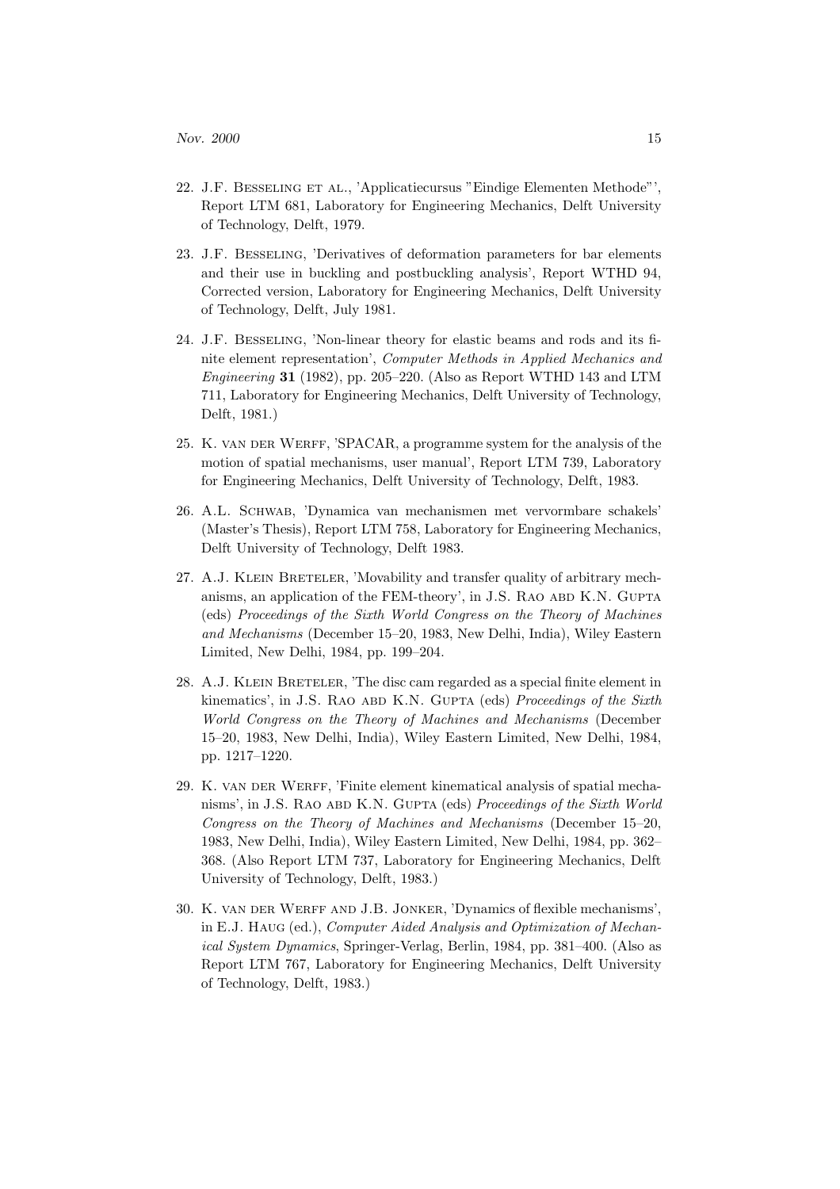- 22. J.F. Besseling et al., 'Applicatiecursus "Eindige Elementen Methode"', Report LTM 681, Laboratory for Engineering Mechanics, Delft University of Technology, Delft, 1979.
- 23. J.F. Besseling, 'Derivatives of deformation parameters for bar elements and their use in buckling and postbuckling analysis', Report WTHD 94, Corrected version, Laboratory for Engineering Mechanics, Delft University of Technology, Delft, July 1981.
- 24. J.F. Besseling, 'Non-linear theory for elastic beams and rods and its finite element representation', Computer Methods in Applied Mechanics and Engineering 31 (1982), pp. 205–220. (Also as Report WTHD 143 and LTM 711, Laboratory for Engineering Mechanics, Delft University of Technology, Delft, 1981.)
- 25. K. van der Werff, 'SPACAR, a programme system for the analysis of the motion of spatial mechanisms, user manual', Report LTM 739, Laboratory for Engineering Mechanics, Delft University of Technology, Delft, 1983.
- 26. A.L. Schwab, 'Dynamica van mechanismen met vervormbare schakels' (Master's Thesis), Report LTM 758, Laboratory for Engineering Mechanics, Delft University of Technology, Delft 1983.
- 27. A.J. KLEIN BRETELER, 'Movability and transfer quality of arbitrary mechanisms, an application of the FEM-theory', in J.S. RAO ABD K.N. GUPTA (eds) Proceedings of the Sixth World Congress on the Theory of Machines and Mechanisms (December 15–20, 1983, New Delhi, India), Wiley Eastern Limited, New Delhi, 1984, pp. 199–204.
- 28. A.J. Klein Breteler, 'The disc cam regarded as a special finite element in kinematics', in J.S. RAO ABD K.N. GUPTA (eds) Proceedings of the Sixth World Congress on the Theory of Machines and Mechanisms (December 15–20, 1983, New Delhi, India), Wiley Eastern Limited, New Delhi, 1984, pp. 1217–1220.
- 29. K. VAN DER WERFF, 'Finite element kinematical analysis of spatial mechanisms', in J.S. RAO ABD K.N. GUPTA (eds) Proceedings of the Sixth World Congress on the Theory of Machines and Mechanisms (December 15–20, 1983, New Delhi, India), Wiley Eastern Limited, New Delhi, 1984, pp. 362– 368. (Also Report LTM 737, Laboratory for Engineering Mechanics, Delft University of Technology, Delft, 1983.)
- 30. K. van der Werff and J.B. Jonker, 'Dynamics of flexible mechanisms', in E.J. Haug (ed.), Computer Aided Analysis and Optimization of Mechanical System Dynamics, Springer-Verlag, Berlin, 1984, pp. 381–400. (Also as Report LTM 767, Laboratory for Engineering Mechanics, Delft University of Technology, Delft, 1983.)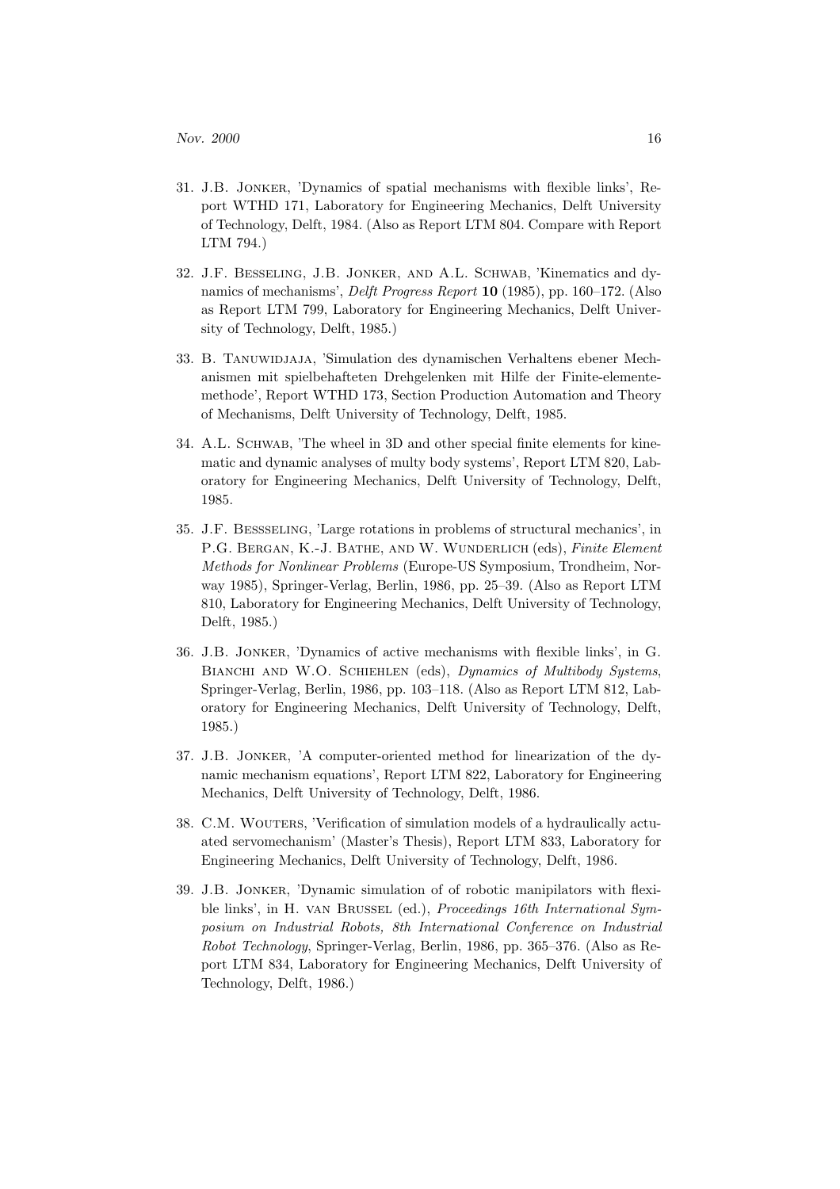- 31. J.B. Jonker, 'Dynamics of spatial mechanisms with flexible links', Report WTHD 171, Laboratory for Engineering Mechanics, Delft University of Technology, Delft, 1984. (Also as Report LTM 804. Compare with Report LTM 794.)
- 32. J.F. Besseling, J.B. Jonker, and A.L. Schwab, 'Kinematics and dynamics of mechanisms', Delft Progress Report 10 (1985), pp. 160–172. (Also as Report LTM 799, Laboratory for Engineering Mechanics, Delft University of Technology, Delft, 1985.)
- 33. B. Tanuwidjaja, 'Simulation des dynamischen Verhaltens ebener Mechanismen mit spielbehafteten Drehgelenken mit Hilfe der Finite-elementemethode', Report WTHD 173, Section Production Automation and Theory of Mechanisms, Delft University of Technology, Delft, 1985.
- 34. A.L. SCHWAB, 'The wheel in 3D and other special finite elements for kinematic and dynamic analyses of multy body systems', Report LTM 820, Laboratory for Engineering Mechanics, Delft University of Technology, Delft, 1985.
- 35. J.F. Bessseling, 'Large rotations in problems of structural mechanics', in P.G. BERGAN, K.-J. BATHE, AND W. WUNDERLICH (eds), Finite Element Methods for Nonlinear Problems (Europe-US Symposium, Trondheim, Norway 1985), Springer-Verlag, Berlin, 1986, pp. 25–39. (Also as Report LTM 810, Laboratory for Engineering Mechanics, Delft University of Technology, Delft, 1985.)
- 36. J.B. Jonker, 'Dynamics of active mechanisms with flexible links', in G. BIANCHI AND W.O. SCHIEHLEN (eds), Dynamics of Multibody Systems, Springer-Verlag, Berlin, 1986, pp. 103–118. (Also as Report LTM 812, Laboratory for Engineering Mechanics, Delft University of Technology, Delft, 1985.)
- 37. J.B. Jonker, 'A computer-oriented method for linearization of the dynamic mechanism equations', Report LTM 822, Laboratory for Engineering Mechanics, Delft University of Technology, Delft, 1986.
- 38. C.M. WOUTERS, 'Verification of simulation models of a hydraulically actuated servomechanism' (Master's Thesis), Report LTM 833, Laboratory for Engineering Mechanics, Delft University of Technology, Delft, 1986.
- 39. J.B. Jonker, 'Dynamic simulation of of robotic manipilators with flexible links', in H. van Brussel (ed.), Proceedings 16th International Symposium on Industrial Robots, 8th International Conference on Industrial Robot Technology, Springer-Verlag, Berlin, 1986, pp. 365–376. (Also as Report LTM 834, Laboratory for Engineering Mechanics, Delft University of Technology, Delft, 1986.)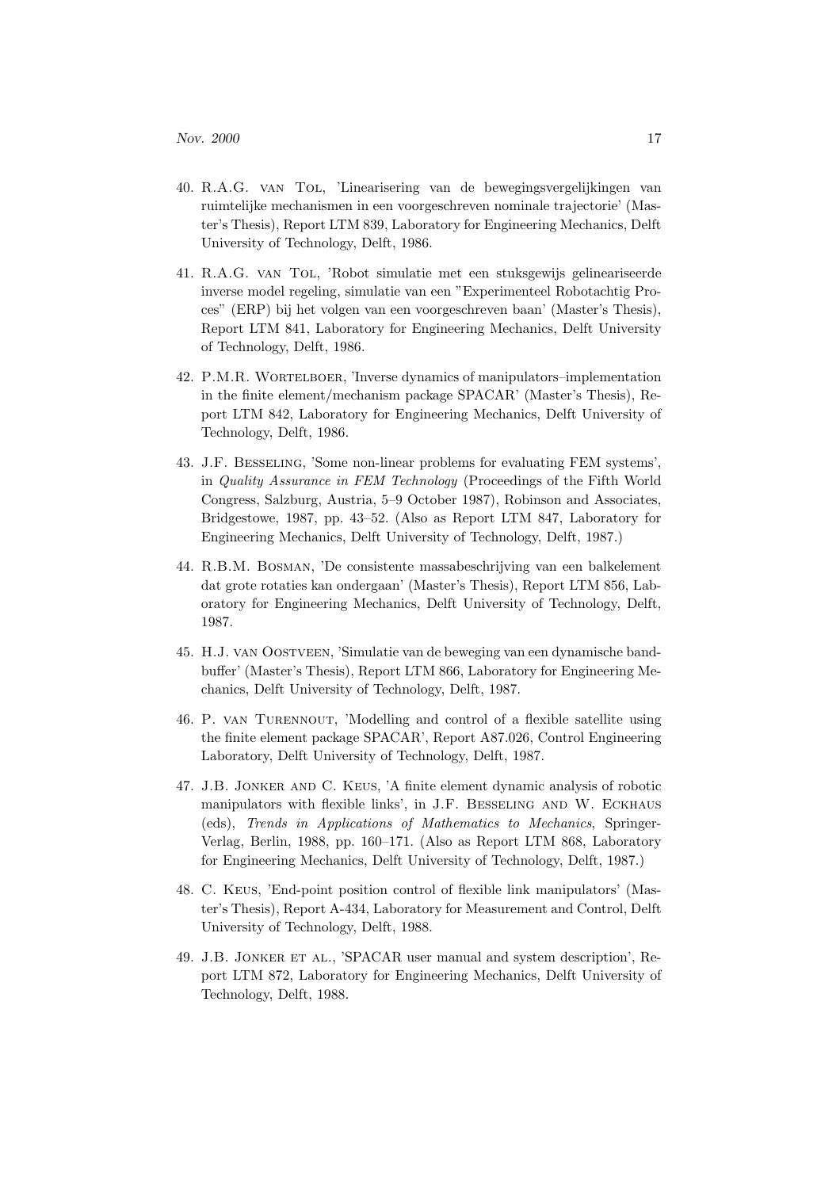- 40. R.A.G. van Tol, 'Linearisering van de bewegingsvergelijkingen van ruimtelijke mechanismen in een voorgeschreven nominale trajectorie' (Master's Thesis), Report LTM 839, Laboratory for Engineering Mechanics, Delft University of Technology, Delft, 1986.
- 41. R.A.G. van Tol, 'Robot simulatie met een stuksgewijs gelineariseerde inverse model regeling, simulatie van een "Experimenteel Robotachtig Proces" (ERP) bij het volgen van een voorgeschreven baan' (Master's Thesis), Report LTM 841, Laboratory for Engineering Mechanics, Delft University of Technology, Delft, 1986.
- 42. P.M.R. Wortelboer, 'Inverse dynamics of manipulators–implementation in the finite element/mechanism package SPACAR' (Master's Thesis), Report LTM 842, Laboratory for Engineering Mechanics, Delft University of Technology, Delft, 1986.
- 43. J.F. Besseling, 'Some non-linear problems for evaluating FEM systems', in Quality Assurance in FEM Technology (Proceedings of the Fifth World Congress, Salzburg, Austria, 5–9 October 1987), Robinson and Associates, Bridgestowe, 1987, pp. 43–52. (Also as Report LTM 847, Laboratory for Engineering Mechanics, Delft University of Technology, Delft, 1987.)
- 44. R.B.M. Bosman, 'De consistente massabeschrijving van een balkelement dat grote rotaties kan ondergaan' (Master's Thesis), Report LTM 856, Laboratory for Engineering Mechanics, Delft University of Technology, Delft, 1987.
- 45. H.J. van Oostveen, 'Simulatie van de beweging van een dynamische bandbuffer' (Master's Thesis), Report LTM 866, Laboratory for Engineering Mechanics, Delft University of Technology, Delft, 1987.
- 46. P. van Turennout, 'Modelling and control of a flexible satellite using the finite element package SPACAR', Report A87.026, Control Engineering Laboratory, Delft University of Technology, Delft, 1987.
- 47. J.B. Jonker and C. Keus, 'A finite element dynamic analysis of robotic manipulators with flexible links', in J.F. Besseling and W. Eckhaus (eds), Trends in Applications of Mathematics to Mechanics, Springer-Verlag, Berlin, 1988, pp. 160–171. (Also as Report LTM 868, Laboratory for Engineering Mechanics, Delft University of Technology, Delft, 1987.)
- 48. C. Keus, 'End-point position control of flexible link manipulators' (Master's Thesis), Report A-434, Laboratory for Measurement and Control, Delft University of Technology, Delft, 1988.
- 49. J.B. Jonker et al., 'SPACAR user manual and system description', Report LTM 872, Laboratory for Engineering Mechanics, Delft University of Technology, Delft, 1988.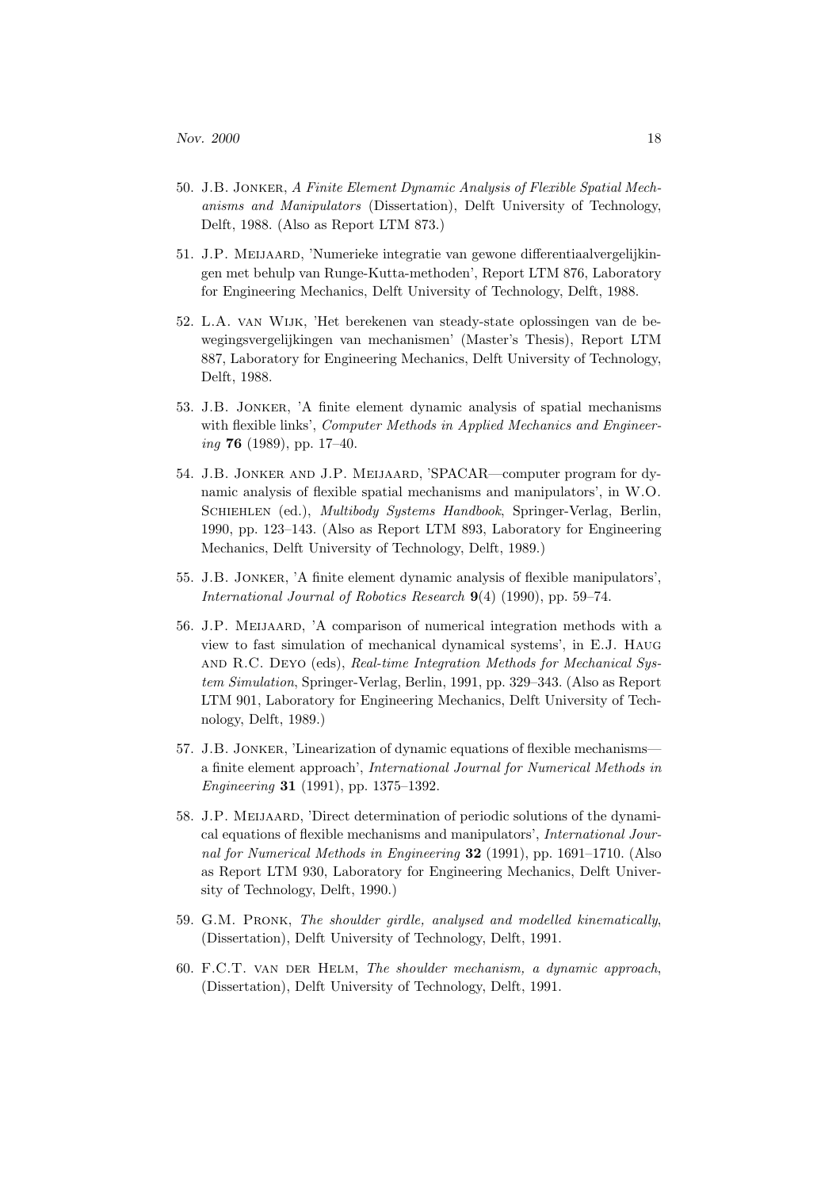- 50. J.B. Jonker, A Finite Element Dynamic Analysis of Flexible Spatial Mechanisms and Manipulators (Dissertation), Delft University of Technology, Delft, 1988. (Also as Report LTM 873.)
- 51. J.P. Meijaard, 'Numerieke integratie van gewone differentiaalvergelijkingen met behulp van Runge-Kutta-methoden', Report LTM 876, Laboratory for Engineering Mechanics, Delft University of Technology, Delft, 1988.
- 52. L.A. van Wijk, 'Het berekenen van steady-state oplossingen van de bewegingsvergelijkingen van mechanismen' (Master's Thesis), Report LTM 887, Laboratory for Engineering Mechanics, Delft University of Technology, Delft, 1988.
- 53. J.B. Jonker, 'A finite element dynamic analysis of spatial mechanisms with flexible links', Computer Methods in Applied Mechanics and Engineer $inq$  76 (1989), pp. 17–40.
- 54. J.B. Jonker and J.P. Meijaard, 'SPACAR—computer program for dynamic analysis of flexible spatial mechanisms and manipulators', in W.O. SCHIEHLEN (ed.), *Multibody Systems Handbook*, Springer-Verlag, Berlin, 1990, pp. 123–143. (Also as Report LTM 893, Laboratory for Engineering Mechanics, Delft University of Technology, Delft, 1989.)
- 55. J.B. Jonker, 'A finite element dynamic analysis of flexible manipulators', International Journal of Robotics Research 9(4) (1990), pp. 59–74.
- 56. J.P. Meijaard, 'A comparison of numerical integration methods with a view to fast simulation of mechanical dynamical systems', in E.J. Haug and R.C. Deyo (eds), Real-time Integration Methods for Mechanical System Simulation, Springer-Verlag, Berlin, 1991, pp. 329–343. (Also as Report LTM 901, Laboratory for Engineering Mechanics, Delft University of Technology, Delft, 1989.)
- 57. J.B. Jonker, 'Linearization of dynamic equations of flexible mechanisms a finite element approach', International Journal for Numerical Methods in Engineering 31 (1991), pp. 1375–1392.
- 58. J.P. Meijaard, 'Direct determination of periodic solutions of the dynamical equations of flexible mechanisms and manipulators', International Journal for Numerical Methods in Engineering 32 (1991), pp. 1691–1710. (Also as Report LTM 930, Laboratory for Engineering Mechanics, Delft University of Technology, Delft, 1990.)
- 59. G.M. Pronk, The shoulder girdle, analysed and modelled kinematically, (Dissertation), Delft University of Technology, Delft, 1991.
- 60. F.C.T. van der Helm, The shoulder mechanism, a dynamic approach, (Dissertation), Delft University of Technology, Delft, 1991.